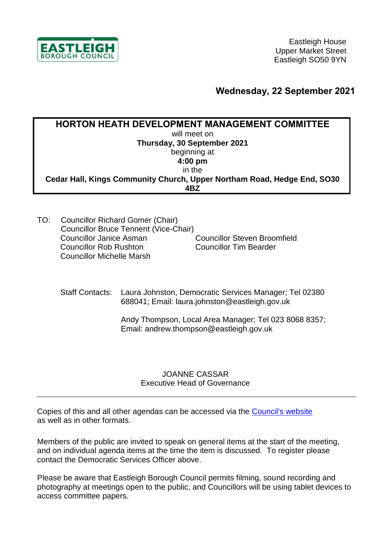

## **Wednesday, 22 September 2021**

| <b>HORTON HEATH DEVELOPMENT MANAGEMENT COMMITTEE</b>                    |
|-------------------------------------------------------------------------|
| will meet on                                                            |
| Thursday, 30 September 2021                                             |
| beginning at                                                            |
| $4:00$ pm                                                               |
| in the                                                                  |
| Cedar Hall, Kings Community Church, Upper Northam Road, Hedge End, SO30 |
| 4R7                                                                     |

TO: Councillor Richard Gomer (Chair) Councillor Bruce Tennent (Vice-Chair) Councillor Janice Asman Councillor Rob Rushton Councillor Michelle Marsh Councillor Steven Broomfield Councillor Tim Bearder

Staff Contacts: Laura Johnston, Democratic Services Manager; Tel 02380 688041; Email: laura.johnston@eastleigh.gov.uk

> Andy Thompson, Local Area Manager; Tel 023 8068 8357; Email: andrew.thompson@eastleigh.gov.uk

## JOANNE CASSAR Executive Head of Governance

Copies of this and all other agendas can be accessed via the [Council's website](https://meetings.eastleigh.gov.uk/) as well as in other formats.

Members of the public are invited to speak on general items at the start of the meeting, and on individual agenda items at the time the item is discussed. To register please contact the Democratic Services Officer above.

Please be aware that Eastleigh Borough Council permits filming, sound recording and photography at meetings open to the public, and Councillors will be using tablet devices to access committee papers.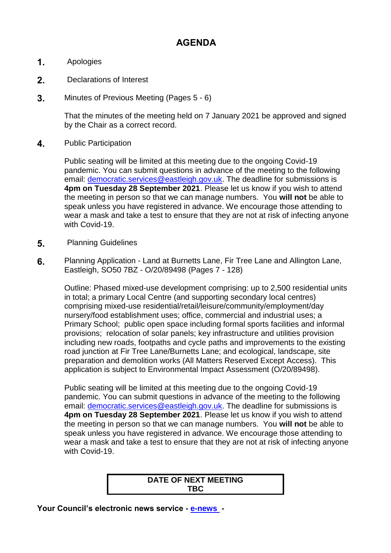## **AGENDA**

- **1.** Apologies
- **2.** Declarations of Interest
- **3.** Minutes of Previous Meeting (Pages 5 6)

That the minutes of the meeting held on 7 January 2021 be approved and signed by the Chair as a correct record.

**4.** Public Participation

Public seating will be limited at this meeting due to the ongoing Covid-19 pandemic. You can submit questions in advance of the meeting to the following email: [democratic.services@eastleigh.gov.uk.](mailto:democratic.services@eastleigh.gov.uk) The deadline for submissions is **4pm on Tuesday 28 September 2021**. Please let us know if you wish to attend the meeting in person so that we can manage numbers. You **will not** be able to speak unless you have registered in advance. We encourage those attending to wear a mask and take a test to ensure that they are not at risk of infecting anyone with Covid-19.

- **5.** Planning Guidelines
- **6.** Planning Application Land at Burnetts Lane, Fir Tree Lane and Allington Lane, Eastleigh, SO50 7BZ - O/20/89498 (Pages 7 - 128)

Outline: Phased mixed-use development comprising: up to 2,500 residential units in total; a primary Local Centre (and supporting secondary local centres) comprising mixed-use residential/retail/leisure/community/employment/day nursery/food establishment uses; office, commercial and industrial uses; a Primary School; public open space including formal sports facilities and informal provisions; relocation of solar panels; key infrastructure and utilities provision including new roads, footpaths and cycle paths and improvements to the existing road junction at Fir Tree Lane/Burnetts Lane; and ecological, landscape, site preparation and demolition works (All Matters Reserved Except Access). This application is subject to Environmental Impact Assessment (O/20/89498).

Public seating will be limited at this meeting due to the ongoing Covid-19 pandemic. You can submit questions in advance of the meeting to the following email: [democratic.services@eastleigh.gov.uk.](mailto:democratic.services@eastleigh.gov.uk) The deadline for submissions is **4pm on Tuesday 28 September 2021**. Please let us know if you wish to attend the meeting in person so that we can manage numbers. You **will not** be able to speak unless you have registered in advance. We encourage those attending to wear a mask and take a test to ensure that they are not at risk of infecting anyone with Covid-19.

## **DATE OF NEXT MEETING TBC**

**Your Council's electronic news service - [e-news](http://www.eastleigh.gov.uk/enews) -**